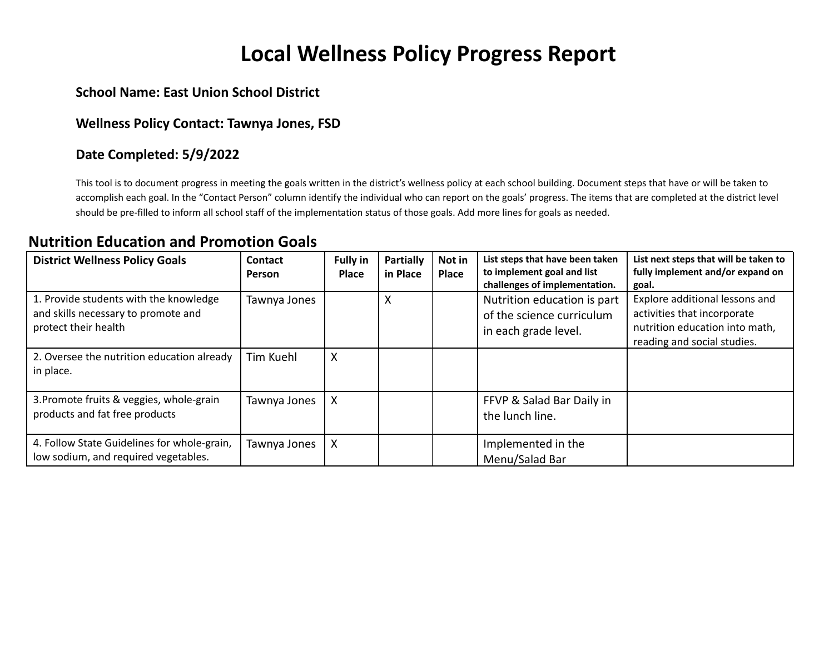# **Local Wellness Policy Progress Report**

### **School Name: East Union School District**

#### **Wellness Policy Contact: Tawnya Jones, FSD**

### **Date Completed: 5/9/2022**

This tool is to document progress in meeting the goals written in the district's wellness policy at each school building. Document steps that have or will be taken to accomplish each goal. In the "Contact Person" column identify the individual who can report on the goals' progress. The items that are completed at the district level should be pre-filled to inform all school staff of the implementation status of those goals. Add more lines for goals as needed.

### **Nutrition Education and Promotion Goals**

| <b>District Wellness Policy Goals</b>                                                                 | <b>Contact</b><br>Person | <b>Fully in</b><br><b>Place</b> | Partially<br>in Place | Not in<br>Place | List steps that have been taken<br>to implement goal and list<br>challenges of implementation. | List next steps that will be taken to<br>fully implement and/or expand on<br>goal.                                             |
|-------------------------------------------------------------------------------------------------------|--------------------------|---------------------------------|-----------------------|-----------------|------------------------------------------------------------------------------------------------|--------------------------------------------------------------------------------------------------------------------------------|
| 1. Provide students with the knowledge<br>and skills necessary to promote and<br>protect their health | Tawnya Jones             |                                 | ⋏                     |                 | Nutrition education is part<br>of the science curriculum<br>in each grade level.               | Explore additional lessons and<br>activities that incorporate<br>nutrition education into math,<br>reading and social studies. |
| 2. Oversee the nutrition education already<br>in place.                                               | Tim Kuehl                | Χ                               |                       |                 |                                                                                                |                                                                                                                                |
| 3. Promote fruits & veggies, whole-grain<br>products and fat free products                            | Tawnya Jones             | X                               |                       |                 | FFVP & Salad Bar Daily in<br>the lunch line.                                                   |                                                                                                                                |
| 4. Follow State Guidelines for whole-grain,<br>low sodium, and required vegetables.                   | Tawnya Jones             | X                               |                       |                 | Implemented in the<br>Menu/Salad Bar                                                           |                                                                                                                                |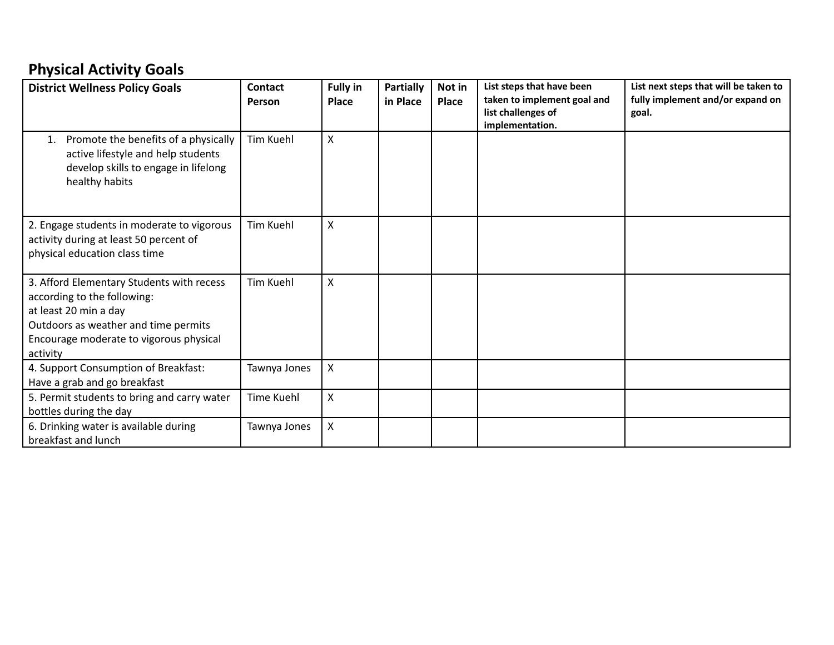# **Physical Activity Goals**

| <b>District Wellness Policy Goals</b>                                                                                                                                                            | Contact<br>Person | <b>Fully in</b><br><b>Place</b> | <b>Partially</b><br>in Place | Not in<br><b>Place</b> | List steps that have been<br>taken to implement goal and<br>list challenges of<br>implementation. | List next steps that will be taken to<br>fully implement and/or expand on<br>goal. |
|--------------------------------------------------------------------------------------------------------------------------------------------------------------------------------------------------|-------------------|---------------------------------|------------------------------|------------------------|---------------------------------------------------------------------------------------------------|------------------------------------------------------------------------------------|
| Promote the benefits of a physically<br>1.<br>active lifestyle and help students<br>develop skills to engage in lifelong<br>healthy habits                                                       | Tim Kuehl         | X                               |                              |                        |                                                                                                   |                                                                                    |
| 2. Engage students in moderate to vigorous<br>activity during at least 50 percent of<br>physical education class time                                                                            | Tim Kuehl         | X                               |                              |                        |                                                                                                   |                                                                                    |
| 3. Afford Elementary Students with recess<br>according to the following:<br>at least 20 min a day<br>Outdoors as weather and time permits<br>Encourage moderate to vigorous physical<br>activity | Tim Kuehl         | X                               |                              |                        |                                                                                                   |                                                                                    |
| 4. Support Consumption of Breakfast:<br>Have a grab and go breakfast                                                                                                                             | Tawnya Jones      | X                               |                              |                        |                                                                                                   |                                                                                    |
| 5. Permit students to bring and carry water<br>bottles during the day                                                                                                                            | <b>Time Kuehl</b> | X                               |                              |                        |                                                                                                   |                                                                                    |
| 6. Drinking water is available during<br>breakfast and lunch                                                                                                                                     | Tawnya Jones      | X                               |                              |                        |                                                                                                   |                                                                                    |